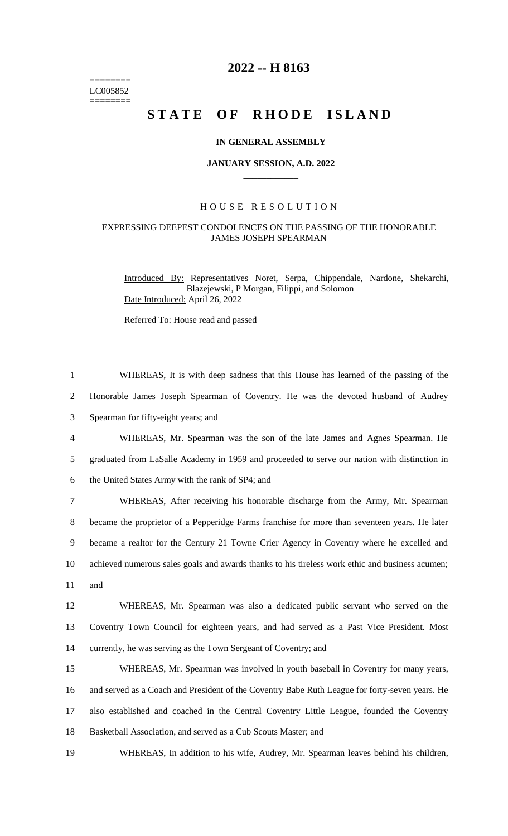======== LC005852  $=$ 

## **2022 -- H 8163**

# **STATE OF RHODE ISLAND**

#### **IN GENERAL ASSEMBLY**

#### **JANUARY SESSION, A.D. 2022 \_\_\_\_\_\_\_\_\_\_\_\_**

### H O U S E R E S O L U T I O N

#### EXPRESSING DEEPEST CONDOLENCES ON THE PASSING OF THE HONORABLE JAMES JOSEPH SPEARMAN

Introduced By: Representatives Noret, Serpa, Chippendale, Nardone, Shekarchi, Blazejewski, P Morgan, Filippi, and Solomon Date Introduced: April 26, 2022

Referred To: House read and passed

| $\mathbf{1}$   | WHEREAS, It is with deep sadness that this House has learned of the passing of the              |
|----------------|-------------------------------------------------------------------------------------------------|
| $\overline{2}$ | Honorable James Joseph Spearman of Coventry. He was the devoted husband of Audrey               |
| 3              | Spearman for fifty-eight years; and                                                             |
| 4              | WHEREAS, Mr. Spearman was the son of the late James and Agnes Spearman. He                      |
| 5              | graduated from LaSalle Academy in 1959 and proceeded to serve our nation with distinction in    |
| 6              | the United States Army with the rank of SP4; and                                                |
| $\tau$         | WHEREAS, After receiving his honorable discharge from the Army, Mr. Spearman                    |
| 8              | became the proprietor of a Pepperidge Farms franchise for more than seventeen years. He later   |
| 9              | became a realtor for the Century 21 Towne Crier Agency in Coventry where he excelled and        |
| 10             | achieved numerous sales goals and awards thanks to his tireless work ethic and business acumen; |
| 11             | and                                                                                             |
| 12             | WHEREAS, Mr. Spearman was also a dedicated public servant who served on the                     |
| 13             | Coventry Town Council for eighteen years, and had served as a Past Vice President. Most         |
| 14             | currently, he was serving as the Town Sergeant of Coventry; and                                 |
| 15             | WHEREAS, Mr. Spearman was involved in youth baseball in Coventry for many years,                |
| 16             | and served as a Coach and President of the Coventry Babe Ruth League for forty-seven years. He  |
| 17             | also established and coached in the Central Coventry Little League, founded the Coventry        |
| 18             | Basketball Association, and served as a Cub Scouts Master; and                                  |
|                |                                                                                                 |

19 WHEREAS, In addition to his wife, Audrey, Mr. Spearman leaves behind his children,